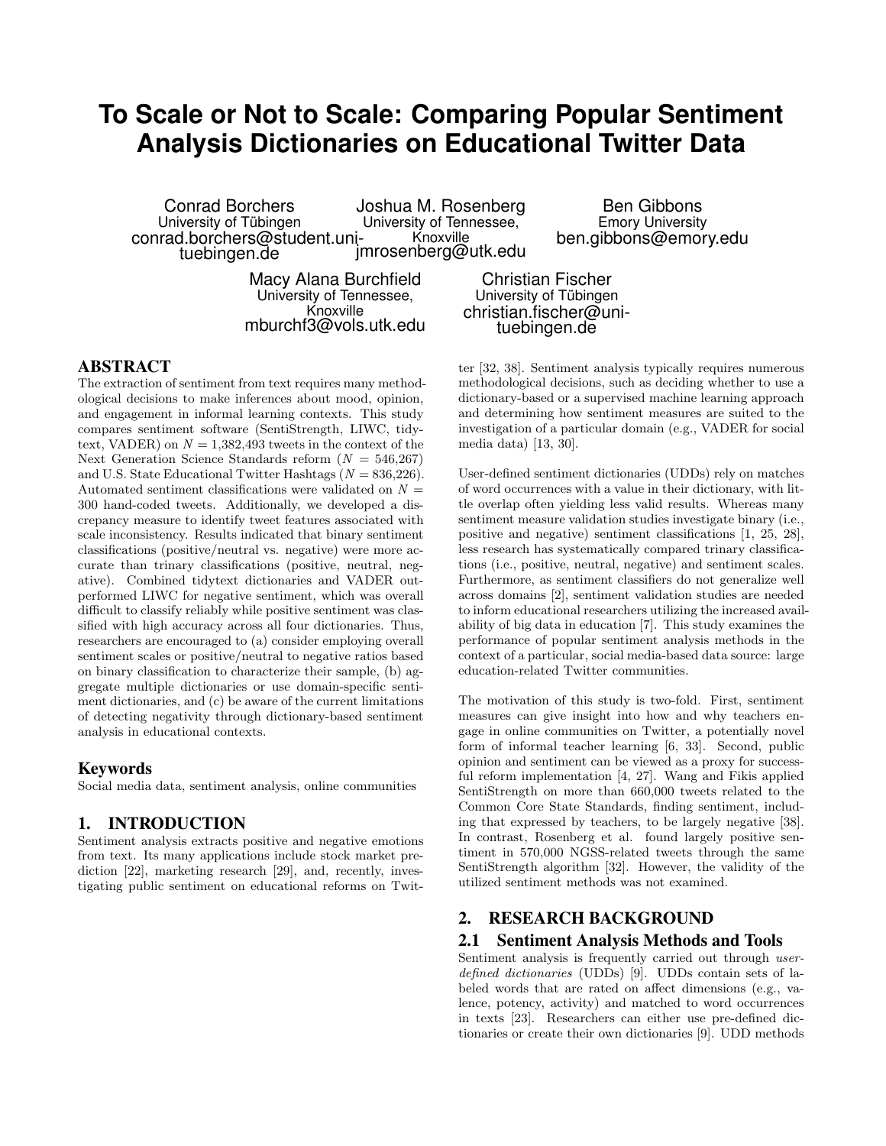# **To Scale or Not to Scale: Comparing Popular Sentiment Analysis Dictionaries on Educational Twitter Data**

Conrad Borchers University of Tübingen conrad.borchers@student.unituebingen.de Joshua M. Rosenberg University of Tennessee, Knoxville jmrosenberg@utk.edu

> Macy Alana Burchfield University of Tennessee, Knoxville mburchf3@vols.utk.edu

Ben Gibbons Emory University ben.gibbons@emory.edu

Christian Fischer University of Tübingen christian.fischer@unituebingen.de

#### ABSTRACT

The extraction of sentiment from text requires many methodological decisions to make inferences about mood, opinion, and engagement in informal learning contexts. This study compares sentiment software (SentiStrength, LIWC, tidytext, VADER) on  $N = 1,382,493$  tweets in the context of the Next Generation Science Standards reform  $(N = 546,267)$ and U.S. State Educational Twitter Hashtags  $(N = 836,226)$ . Automated sentiment classifications were validated on  $N =$ 300 hand-coded tweets. Additionally, we developed a discrepancy measure to identify tweet features associated with scale inconsistency. Results indicated that binary sentiment classifications (positive/neutral vs. negative) were more accurate than trinary classifications (positive, neutral, negative). Combined tidytext dictionaries and VADER outperformed LIWC for negative sentiment, which was overall difficult to classify reliably while positive sentiment was classified with high accuracy across all four dictionaries. Thus, researchers are encouraged to (a) consider employing overall sentiment scales or positive/neutral to negative ratios based on binary classification to characterize their sample, (b) aggregate multiple dictionaries or use domain-specific sentiment dictionaries, and (c) be aware of the current limitations of detecting negativity through dictionary-based sentiment analysis in educational contexts.

#### Keywords

Social media data, sentiment analysis, online communities

#### 1. INTRODUCTION

Sentiment analysis extracts positive and negative emotions from text. Its many applications include stock market prediction [22], marketing research [29], and, recently, investigating public sentiment on educational reforms on Twitter [32, 38]. Sentiment analysis typically requires numerous methodological decisions, such as deciding whether to use a dictionary-based or a supervised machine learning approach and determining how sentiment measures are suited to the investigation of a particular domain (e.g., VADER for social media data) [13, 30].

User-defined sentiment dictionaries (UDDs) rely on matches of word occurrences with a value in their dictionary, with little overlap often yielding less valid results. Whereas many sentiment measure validation studies investigate binary (i.e., positive and negative) sentiment classifications [1, 25, 28], less research has systematically compared trinary classifications (i.e., positive, neutral, negative) and sentiment scales. Furthermore, as sentiment classifiers do not generalize well across domains [2], sentiment validation studies are needed to inform educational researchers utilizing the increased availability of big data in education [7]. This study examines the performance of popular sentiment analysis methods in the context of a particular, social media-based data source: large education-related Twitter communities.

The motivation of this study is two-fold. First, sentiment measures can give insight into how and why teachers engage in online communities on Twitter, a potentially novel form of informal teacher learning [6, 33]. Second, public opinion and sentiment can be viewed as a proxy for successful reform implementation [4, 27]. Wang and Fikis applied SentiStrength on more than 660,000 tweets related to the Common Core State Standards, finding sentiment, including that expressed by teachers, to be largely negative [38]. In contrast, Rosenberg et al. found largely positive sentiment in 570,000 NGSS-related tweets through the same SentiStrength algorithm [32]. However, the validity of the utilized sentiment methods was not examined.

#### 2. RESEARCH BACKGROUND

#### 2.1 Sentiment Analysis Methods and Tools

Sentiment analysis is frequently carried out through userdefined dictionaries (UDDs) [9]. UDDs contain sets of labeled words that are rated on affect dimensions (e.g., valence, potency, activity) and matched to word occurrences in texts [23]. Researchers can either use pre-defined dictionaries or create their own dictionaries [9]. UDD methods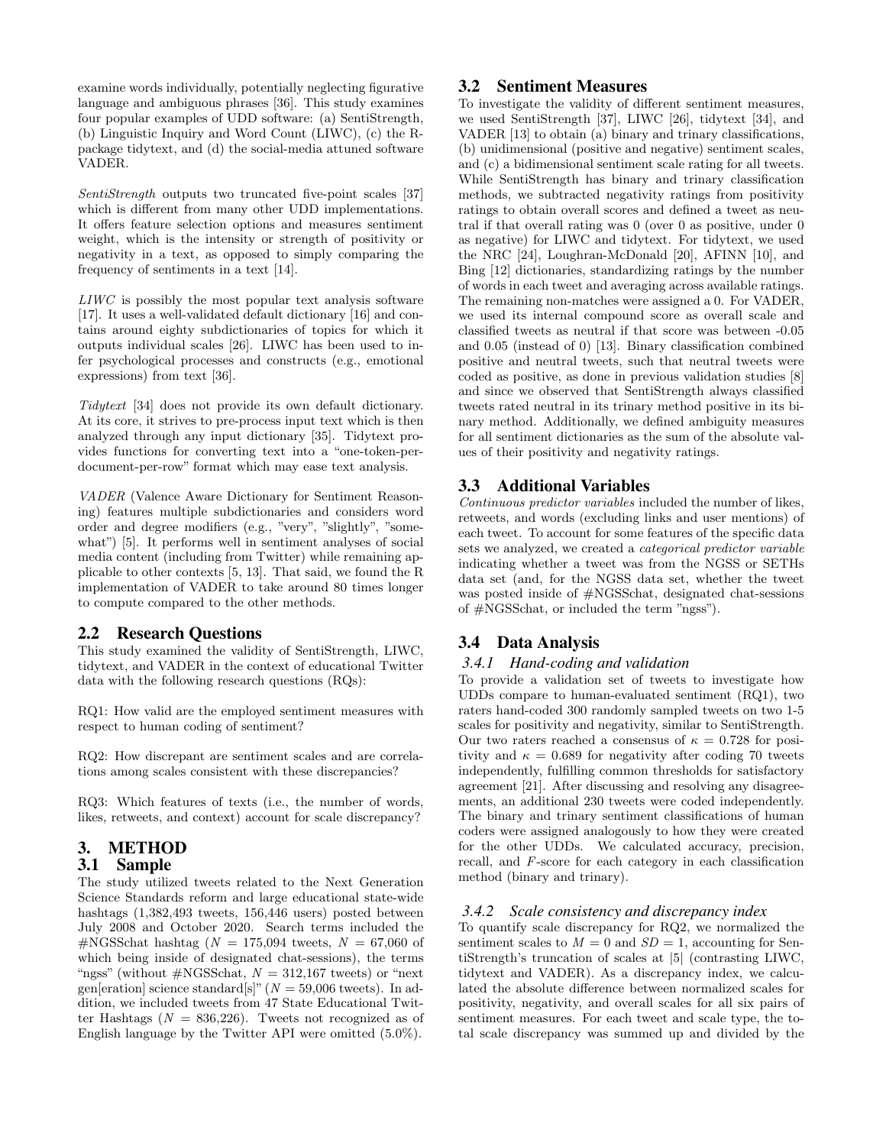examine words individually, potentially neglecting figurative language and ambiguous phrases [36]. This study examines four popular examples of UDD software: (a) SentiStrength, (b) Linguistic Inquiry and Word Count (LIWC), (c) the Rpackage tidytext, and (d) the social-media attuned software VADER.

SentiStrength outputs two truncated five-point scales [37] which is different from many other UDD implementations. It offers feature selection options and measures sentiment weight, which is the intensity or strength of positivity or negativity in a text, as opposed to simply comparing the frequency of sentiments in a text [14].

LIWC is possibly the most popular text analysis software [17]. It uses a well-validated default dictionary [16] and contains around eighty subdictionaries of topics for which it outputs individual scales [26]. LIWC has been used to infer psychological processes and constructs (e.g., emotional expressions) from text [36].

Tidytext [34] does not provide its own default dictionary. At its core, it strives to pre-process input text which is then analyzed through any input dictionary [35]. Tidytext provides functions for converting text into a "one-token-perdocument-per-row" format which may ease text analysis.

VADER (Valence Aware Dictionary for Sentiment Reasoning) features multiple subdictionaries and considers word order and degree modifiers (e.g., "very", "slightly", "somewhat") [5]. It performs well in sentiment analyses of social media content (including from Twitter) while remaining applicable to other contexts [5, 13]. That said, we found the R implementation of VADER to take around 80 times longer to compute compared to the other methods.

#### 2.2 Research Questions

This study examined the validity of SentiStrength, LIWC, tidytext, and VADER in the context of educational Twitter data with the following research questions (RQs):

RQ1: How valid are the employed sentiment measures with respect to human coding of sentiment?

RQ2: How discrepant are sentiment scales and are correlations among scales consistent with these discrepancies?

RQ3: Which features of texts (i.e., the number of words, likes, retweets, and context) account for scale discrepancy?

# 3. METHOD

#### 3.1 Sample

The study utilized tweets related to the Next Generation Science Standards reform and large educational state-wide hashtags (1,382,493 tweets, 156,446 users) posted between July 2008 and October 2020. Search terms included the #NGSSchat hashtag ( $N = 175,094$  tweets,  $N = 67,060$  of which being inside of designated chat-sessions), the terms "ngss" (without  $\#{\text{NGSS}chat}$ ,  $N = 312,167$  tweets) or "next" gen[eration] science standard[s]" ( $N = 59,006$  tweets). In addition, we included tweets from 47 State Educational Twitter Hashtags  $(N = 836,226)$ . Tweets not recognized as of English language by the Twitter API were omitted (5.0%).

#### 3.2 Sentiment Measures

To investigate the validity of different sentiment measures, we used SentiStrength [37], LIWC [26], tidytext [34], and VADER [13] to obtain (a) binary and trinary classifications, (b) unidimensional (positive and negative) sentiment scales, and (c) a bidimensional sentiment scale rating for all tweets. While SentiStrength has binary and trinary classification methods, we subtracted negativity ratings from positivity ratings to obtain overall scores and defined a tweet as neutral if that overall rating was 0 (over 0 as positive, under 0 as negative) for LIWC and tidytext. For tidytext, we used the NRC [24], Loughran-McDonald [20], AFINN [10], and Bing [12] dictionaries, standardizing ratings by the number of words in each tweet and averaging across available ratings. The remaining non-matches were assigned a 0. For VADER, we used its internal compound score as overall scale and classified tweets as neutral if that score was between -0.05 and 0.05 (instead of 0) [13]. Binary classification combined positive and neutral tweets, such that neutral tweets were coded as positive, as done in previous validation studies [8] and since we observed that SentiStrength always classified tweets rated neutral in its trinary method positive in its binary method. Additionally, we defined ambiguity measures for all sentiment dictionaries as the sum of the absolute values of their positivity and negativity ratings.

#### 3.3 Additional Variables

Continuous predictor variables included the number of likes, retweets, and words (excluding links and user mentions) of each tweet. To account for some features of the specific data sets we analyzed, we created a categorical predictor variable indicating whether a tweet was from the NGSS or SETHs data set (and, for the NGSS data set, whether the tweet was posted inside of #NGSSchat, designated chat-sessions of #NGSSchat, or included the term "ngss").

#### 3.4 Data Analysis

#### *3.4.1 Hand-coding and validation*

To provide a validation set of tweets to investigate how UDDs compare to human-evaluated sentiment (RQ1), two raters hand-coded 300 randomly sampled tweets on two 1-5 scales for positivity and negativity, similar to SentiStrength. Our two raters reached a consensus of  $\kappa = 0.728$  for positivity and  $\kappa = 0.689$  for negativity after coding 70 tweets independently, fulfilling common thresholds for satisfactory agreement [21]. After discussing and resolving any disagreements, an additional 230 tweets were coded independently. The binary and trinary sentiment classifications of human coders were assigned analogously to how they were created for the other UDDs. We calculated accuracy, precision, recall, and F-score for each category in each classification method (binary and trinary).

#### *3.4.2 Scale consistency and discrepancy index*

To quantify scale discrepancy for RQ2, we normalized the sentiment scales to  $M = 0$  and  $SD = 1$ , accounting for SentiStrength's truncation of scales at |5| (contrasting LIWC, tidytext and VADER). As a discrepancy index, we calculated the absolute difference between normalized scales for positivity, negativity, and overall scales for all six pairs of sentiment measures. For each tweet and scale type, the total scale discrepancy was summed up and divided by the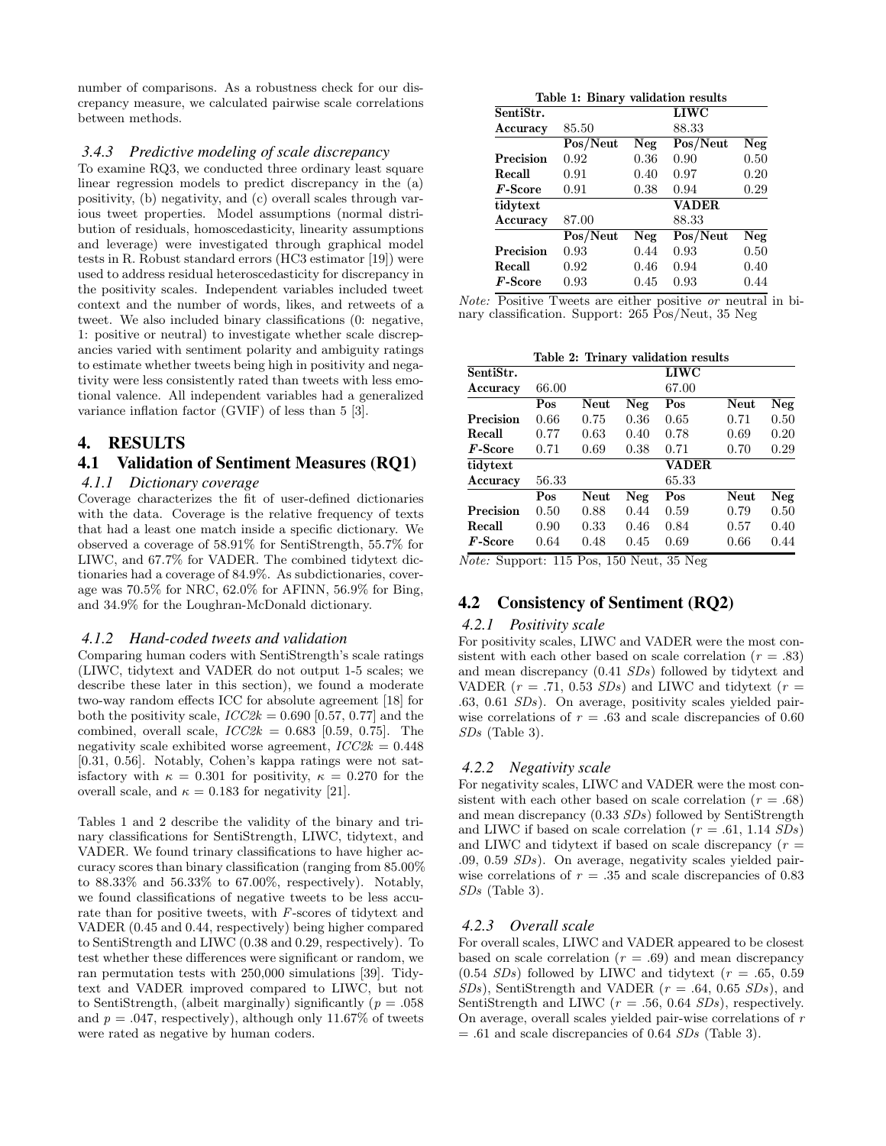number of comparisons. As a robustness check for our discrepancy measure, we calculated pairwise scale correlations between methods.

#### *3.4.3 Predictive modeling of scale discrepancy*

To examine RQ3, we conducted three ordinary least square linear regression models to predict discrepancy in the (a) positivity, (b) negativity, and (c) overall scales through various tweet properties. Model assumptions (normal distribution of residuals, homoscedasticity, linearity assumptions and leverage) were investigated through graphical model tests in R. Robust standard errors (HC3 estimator [19]) were used to address residual heteroscedasticity for discrepancy in the positivity scales. Independent variables included tweet context and the number of words, likes, and retweets of a tweet. We also included binary classifications (0: negative, 1: positive or neutral) to investigate whether scale discrepancies varied with sentiment polarity and ambiguity ratings to estimate whether tweets being high in positivity and negativity were less consistently rated than tweets with less emotional valence. All independent variables had a generalized variance inflation factor (GVIF) of less than 5 [3].

#### 4. RESULTS

# 4.1 Validation of Sentiment Measures (RQ1)

#### *4.1.1 Dictionary coverage*

Coverage characterizes the fit of user-defined dictionaries with the data. Coverage is the relative frequency of texts that had a least one match inside a specific dictionary. We observed a coverage of 58.91% for SentiStrength, 55.7% for LIWC, and 67.7% for VADER. The combined tidytext dictionaries had a coverage of 84.9%. As subdictionaries, coverage was 70.5% for NRC, 62.0% for AFINN, 56.9% for Bing, and 34.9% for the Loughran-McDonald dictionary.

#### *4.1.2 Hand-coded tweets and validation*

Comparing human coders with SentiStrength's scale ratings (LIWC, tidytext and VADER do not output 1-5 scales; we describe these later in this section), we found a moderate two-way random effects ICC for absolute agreement [18] for both the positivity scale,  $ICC2k = 0.690$  [0.57, 0.77] and the combined, overall scale,  $ICC2k = 0.683$  [0.59, 0.75]. The negativity scale exhibited worse agreement,  $\textit{ICC2k} = 0.448$ [0.31, 0.56]. Notably, Cohen's kappa ratings were not satisfactory with  $\kappa = 0.301$  for positivity,  $\kappa = 0.270$  for the overall scale, and  $\kappa = 0.183$  for negativity [21].

Tables 1 and 2 describe the validity of the binary and trinary classifications for SentiStrength, LIWC, tidytext, and VADER. We found trinary classifications to have higher accuracy scores than binary classification (ranging from 85.00% to  $88.33\%$  and  $56.33\%$  to  $67.00\%$ , respectively). Notably, we found classifications of negative tweets to be less accurate than for positive tweets, with F-scores of tidytext and VADER (0.45 and 0.44, respectively) being higher compared to SentiStrength and LIWC (0.38 and 0.29, respectively). To test whether these differences were significant or random, we ran permutation tests with 250,000 simulations [39]. Tidytext and VADER improved compared to LIWC, but not to SentiStrength, (albeit marginally) significantly ( $p = .058$ ) and  $p = .047$ , respectively), although only 11.67% of tweets were rated as negative by human coders.

|            | Table 1: Binary validation results |      |              |      |
|------------|------------------------------------|------|--------------|------|
| SentiStr.  |                                    |      | <b>LIWC</b>  |      |
| Accuracy   | 85.50                              |      | 88.33        |      |
|            | Pos/Neut                           | Neg  | Pos/Neut     | Neg  |
| Precision  | 0.92                               | 0.36 | 0.90         | 0.50 |
| Recall     | 0.91                               | 0.40 | 0.97         | 0.20 |
| $F$ -Score | 0.91                               | 0.38 | 0.94         | 0.29 |
| tidytext   |                                    |      | <b>VADER</b> |      |
| Accuracy   | 87.00                              |      | 88.33        |      |
|            | Pos/Neut                           | Neg  | Pos/Neut     | Neg  |
| Precision  | 0.93                               | 0.44 | 0.93         | 0.50 |
| Recall     | 0.92                               | 0.46 | 0.94         | 0.40 |
| $F$ -Score | 0.93                               | 0.45 | 0.93         | 0.44 |

| <i>Note:</i> Positive Tweets are either positive <i>or</i> neutral in bi- |  |  |  |  |
|---------------------------------------------------------------------------|--|--|--|--|
| nary classification. Support: 265 Pos/Neut, 35 Neg                        |  |  |  |  |

| Table 2: Trinary validation results |  |
|-------------------------------------|--|
|-------------------------------------|--|

| SentiStr.      |       |      |      | LIWC         |      |      |
|----------------|-------|------|------|--------------|------|------|
| Accuracy       | 66.00 |      |      | 67.00        |      |      |
|                | Pos   | Neut | Neg  | Pos          | Neut | Neg  |
| Precision      | 0.66  | 0.75 | 0.36 | 0.65         | 0.71 | 0.50 |
| Recall         | 0.77  | 0.63 | 0.40 | 0.78         | 0.69 | 0.20 |
| F-Score        | 0.71  | 0.69 | 0.38 | 0.71         | 0.70 | 0.29 |
| tidytext       |       |      |      | <b>VADER</b> |      |      |
| Accuracy       | 56.33 |      |      | 65.33        |      |      |
|                | Pos   | Neut | Neg  | Pos          | Neut | Neg  |
| Precision      | 0.50  | 0.88 | 0.44 | 0.59         | 0.79 | 0.50 |
| Recall         | 0.90  | 0.33 | 0.46 | 0.84         | 0.57 | 0.40 |
| <b>F-Score</b> | 0.64  | 0.48 | 0.45 | 0.69         | 0.66 | 0.44 |

Note: Support: 115 Pos, 150 Neut, 35 Neg

# 4.2 Consistency of Sentiment (RQ2)

#### *4.2.1 Positivity scale*

For positivity scales, LIWC and VADER were the most consistent with each other based on scale correlation ( $r = .83$ ) and mean discrepancy (0.41 SDs) followed by tidytext and VADER ( $r = .71, 0.53$  SDs) and LIWC and tidytext ( $r =$ .63, 0.61 SDs). On average, positivity scales yielded pairwise correlations of  $r = .63$  and scale discrepancies of 0.60 SDs (Table 3).

#### *4.2.2 Negativity scale*

For negativity scales, LIWC and VADER were the most consistent with each other based on scale correlation ( $r = .68$ ) and mean discrepancy (0.33 SDs) followed by SentiStrength and LIWC if based on scale correlation ( $r = .61, 1.14$  SDs) and LIWC and tidytext if based on scale discrepancy  $(r =$ .09, 0.59 SDs). On average, negativity scales yielded pairwise correlations of  $r = .35$  and scale discrepancies of 0.83 SDs (Table 3).

#### *4.2.3 Overall scale*

For overall scales, LIWC and VADER appeared to be closest based on scale correlation  $(r = .69)$  and mean discrepancy  $(0.54 SDs)$  followed by LIWC and tidytext  $(r = .65, 0.59)$  $SDs$ ), SentiStrength and VADER ( $r = .64, 0.65$   $SDs$ ), and SentiStrength and LIWC ( $r = .56, 0.64$  SDs), respectively. On average, overall scales yielded pair-wise correlations of r  $= .61$  and scale discrepancies of 0.64  $SDs$  (Table 3).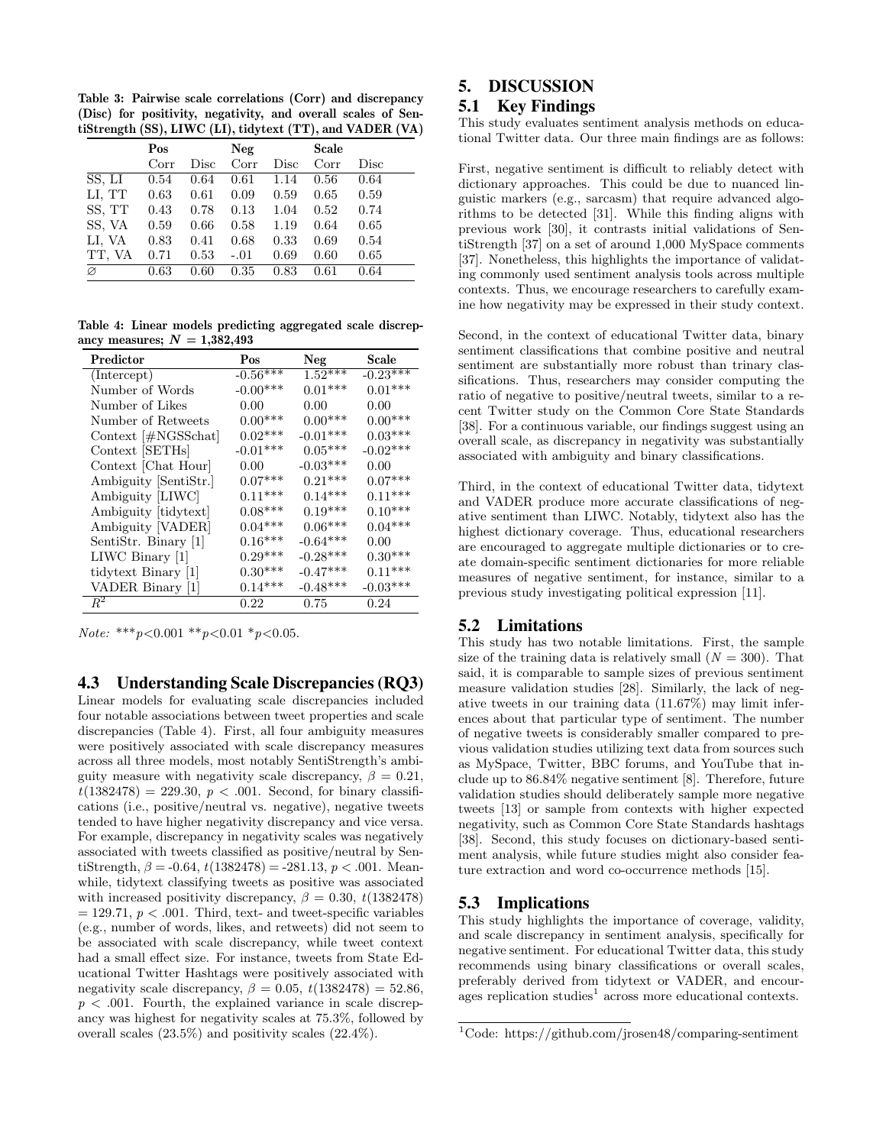Table 3: Pairwise scale correlations (Corr) and discrepancy (Disc) for positivity, negativity, and overall scales of SentiStrength (SS), LIWC (LI), tidytext (TT), and VADER (VA)

|        | Pos  |      | Neg    |      | <b>Scale</b> |      |
|--------|------|------|--------|------|--------------|------|
|        | Corr | Disc | Corr   | Disc | Corr         | Disc |
| SS, LI | 0.54 | 0.64 | 0.61   | 1.14 | 0.56         | 0.64 |
| LI, TT | 0.63 | 0.61 | 0.09   | 0.59 | 0.65         | 0.59 |
| SS, TT | 0.43 | 0.78 | 0.13   | 1.04 | 0.52         | 0.74 |
| SS, VA | 0.59 | 0.66 | 0.58   | 1.19 | 0.64         | 0.65 |
| LI, VA | 0.83 | 0.41 | 0.68   | 0.33 | 0.69         | 0.54 |
| TT, VA | 0.71 | 0.53 | $-.01$ | 0.69 | 0.60         | 0.65 |
| Ø      | 0.63 | 0.60 | 0.35   | 0.83 | 0.61         | 0.64 |

Table 4: Linear models predicting aggregated scale discrepancy measures;  $N = 1,382,493$ 

| Predictor                     | Pos        | Neg        | Scale      |
|-------------------------------|------------|------------|------------|
| (Intercept)                   | $-0.56***$ | $1.52***$  | $-0.23***$ |
| Number of Words               | $-0.00***$ | $0.01***$  | $0.01***$  |
| Number of Likes               | 0.00       | 0.00       | 0.00       |
| Number of Retweets            | $0.00***$  | $0.00***$  | $0.00***$  |
| Context $[\text{\#NGSS}$ chat | $0.02***$  | $-0.01***$ | $0.03***$  |
| Context [SETHs]               | $-0.01***$ | $0.05***$  | $-0.02***$ |
| Context [Chat Hour]           | 0.00       | $-0.03***$ | 0.00       |
| Ambiguity [SentiStr.]         | $0.07***$  | $0.21***$  | $0.07***$  |
| Ambiguity [LIWC]              | $0.11***$  | $0.14***$  | $0.11***$  |
| Ambiguity [tidytext]          | $0.08***$  | $0.19***$  | $0.10***$  |
| Ambiguity [VADER]             | $0.04***$  | $0.06***$  | $0.04***$  |
| SentiStr. Binary [1]          | $0.16***$  | $-0.64***$ | 0.00       |
| LIWC Binary $ 1 $             | $0.29***$  | $-0.28***$ | $0.30***$  |
| tidytext Binary [1]           | $0.30***$  | $-0.47***$ | $0.11***$  |
| VADER Binary [1]              | $0.14***$  | $-0.48***$ | $-0.03***$ |
| $R^2$                         | 0.22       | 0.75       | 0.24       |

Note: \*\*\*  $p < 0.001$  \*\*  $p < 0.01$  \*  $p < 0.05$ .

4.3 Understanding Scale Discrepancies (RQ3)

Linear models for evaluating scale discrepancies included four notable associations between tweet properties and scale discrepancies (Table 4). First, all four ambiguity measures were positively associated with scale discrepancy measures across all three models, most notably SentiStrength's ambiguity measure with negativity scale discrepancy,  $\beta = 0.21$ ,  $t(1382478) = 229.30, p < .001$ . Second, for binary classifications (i.e., positive/neutral vs. negative), negative tweets tended to have higher negativity discrepancy and vice versa. For example, discrepancy in negativity scales was negatively associated with tweets classified as positive/neutral by SentiStrength,  $\beta = -0.64$ ,  $t(1382478) = -281.13$ ,  $p < .001$ . Meanwhile, tidytext classifying tweets as positive was associated with increased positivity discrepancy,  $\beta = 0.30, t(1382478)$  $= 129.71, p < .001$ . Third, text- and tweet-specific variables (e.g., number of words, likes, and retweets) did not seem to be associated with scale discrepancy, while tweet context had a small effect size. For instance, tweets from State Educational Twitter Hashtags were positively associated with negativity scale discrepancy,  $\beta = 0.05$ ,  $t(1382478) = 52.86$ ,  $p < .001$ . Fourth, the explained variance in scale discrepancy was highest for negativity scales at 75.3%, followed by overall scales (23.5%) and positivity scales (22.4%).

# 5. DISCUSSION

# 5.1 Key Findings

This study evaluates sentiment analysis methods on educational Twitter data. Our three main findings are as follows:

First, negative sentiment is difficult to reliably detect with dictionary approaches. This could be due to nuanced linguistic markers (e.g., sarcasm) that require advanced algorithms to be detected [31]. While this finding aligns with previous work [30], it contrasts initial validations of SentiStrength [37] on a set of around 1,000 MySpace comments [37]. Nonetheless, this highlights the importance of validating commonly used sentiment analysis tools across multiple contexts. Thus, we encourage researchers to carefully examine how negativity may be expressed in their study context.

Second, in the context of educational Twitter data, binary sentiment classifications that combine positive and neutral sentiment are substantially more robust than trinary classifications. Thus, researchers may consider computing the ratio of negative to positive/neutral tweets, similar to a recent Twitter study on the Common Core State Standards [38]. For a continuous variable, our findings suggest using an overall scale, as discrepancy in negativity was substantially associated with ambiguity and binary classifications.

Third, in the context of educational Twitter data, tidytext and VADER produce more accurate classifications of negative sentiment than LIWC. Notably, tidytext also has the highest dictionary coverage. Thus, educational researchers are encouraged to aggregate multiple dictionaries or to create domain-specific sentiment dictionaries for more reliable measures of negative sentiment, for instance, similar to a previous study investigating political expression [11].

#### 5.2 Limitations

This study has two notable limitations. First, the sample size of the training data is relatively small  $(N = 300)$ . That said, it is comparable to sample sizes of previous sentiment measure validation studies [28]. Similarly, the lack of negative tweets in our training data (11.67%) may limit inferences about that particular type of sentiment. The number of negative tweets is considerably smaller compared to previous validation studies utilizing text data from sources such as MySpace, Twitter, BBC forums, and YouTube that include up to 86.84% negative sentiment [8]. Therefore, future validation studies should deliberately sample more negative tweets [13] or sample from contexts with higher expected negativity, such as Common Core State Standards hashtags [38]. Second, this study focuses on dictionary-based sentiment analysis, while future studies might also consider feature extraction and word co-occurrence methods [15].

#### 5.3 Implications

This study highlights the importance of coverage, validity, and scale discrepancy in sentiment analysis, specifically for negative sentiment. For educational Twitter data, this study recommends using binary classifications or overall scales, preferably derived from tidytext or VADER, and encourages replication studies<sup>1</sup> across more educational contexts.

<sup>1</sup>Code: https://github.com/jrosen48/comparing-sentiment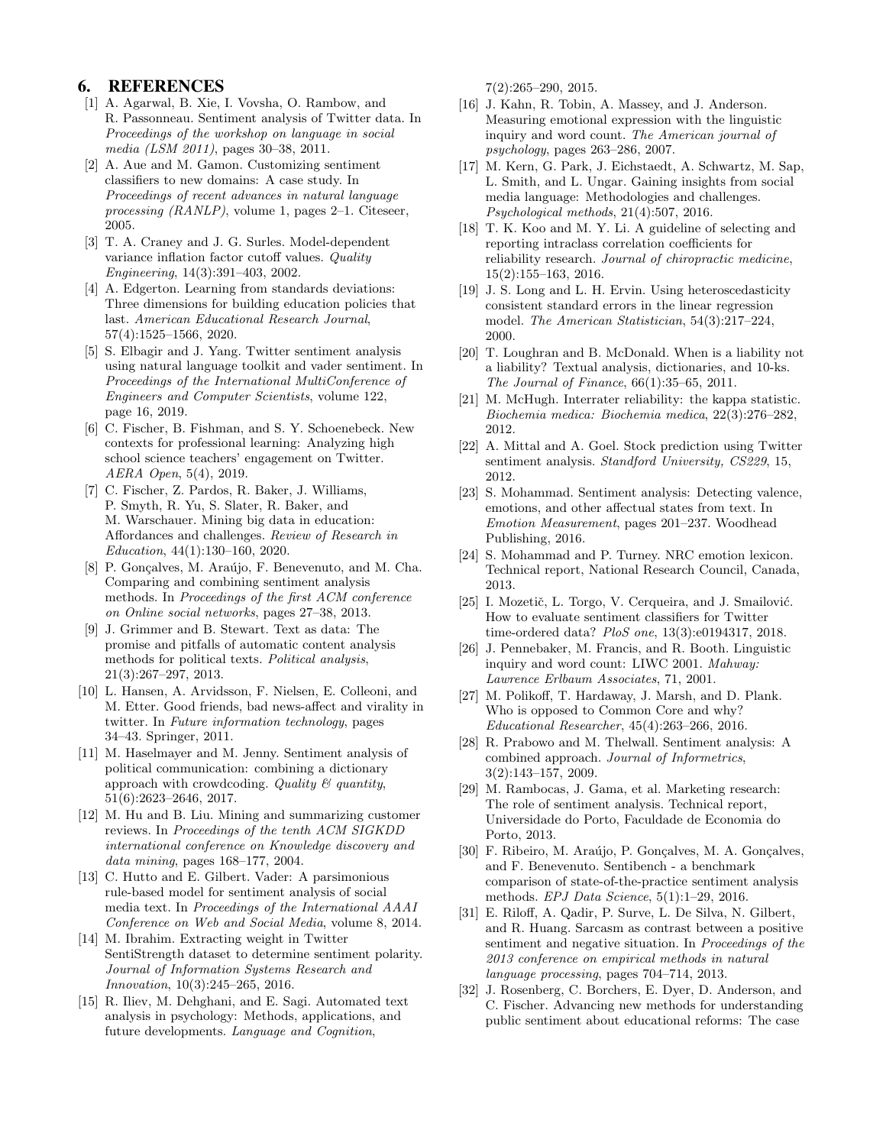#### 6. REFERENCES

- [1] A. Agarwal, B. Xie, I. Vovsha, O. Rambow, and R. Passonneau. Sentiment analysis of Twitter data. In Proceedings of the workshop on language in social media (LSM 2011), pages 30–38, 2011.
- [2] A. Aue and M. Gamon. Customizing sentiment classifiers to new domains: A case study. In Proceedings of recent advances in natural language processing (RANLP), volume 1, pages 2–1. Citeseer, 2005.
- [3] T. A. Craney and J. G. Surles. Model-dependent variance inflation factor cutoff values. Quality Engineering, 14(3):391–403, 2002.
- [4] A. Edgerton. Learning from standards deviations: Three dimensions for building education policies that last. American Educational Research Journal, 57(4):1525–1566, 2020.
- [5] S. Elbagir and J. Yang. Twitter sentiment analysis using natural language toolkit and vader sentiment. In Proceedings of the International MultiConference of Engineers and Computer Scientists, volume 122, page 16, 2019.
- [6] C. Fischer, B. Fishman, and S. Y. Schoenebeck. New contexts for professional learning: Analyzing high school science teachers' engagement on Twitter. AERA Open, 5(4), 2019.
- [7] C. Fischer, Z. Pardos, R. Baker, J. Williams, P. Smyth, R. Yu, S. Slater, R. Baker, and M. Warschauer. Mining big data in education: Affordances and challenges. Review of Research in Education, 44(1):130–160, 2020.
- [8] P. Gonçalves, M. Araújo, F. Benevenuto, and M. Cha. Comparing and combining sentiment analysis methods. In Proceedings of the first ACM conference on Online social networks, pages 27–38, 2013.
- [9] J. Grimmer and B. Stewart. Text as data: The promise and pitfalls of automatic content analysis methods for political texts. Political analysis, 21(3):267–297, 2013.
- [10] L. Hansen, A. Arvidsson, F. Nielsen, E. Colleoni, and M. Etter. Good friends, bad news-affect and virality in twitter. In Future information technology, pages 34–43. Springer, 2011.
- [11] M. Haselmayer and M. Jenny. Sentiment analysis of political communication: combining a dictionary approach with crowdcoding. Quality  $\mathcal{C}$  quantity, 51(6):2623–2646, 2017.
- [12] M. Hu and B. Liu. Mining and summarizing customer reviews. In Proceedings of the tenth ACM SIGKDD international conference on Knowledge discovery and data mining, pages 168–177, 2004.
- [13] C. Hutto and E. Gilbert. Vader: A parsimonious rule-based model for sentiment analysis of social media text. In Proceedings of the International AAAI Conference on Web and Social Media, volume 8, 2014.
- [14] M. Ibrahim. Extracting weight in Twitter SentiStrength dataset to determine sentiment polarity. Journal of Information Systems Research and Innovation, 10(3):245–265, 2016.
- [15] R. Iliev, M. Dehghani, and E. Sagi. Automated text analysis in psychology: Methods, applications, and future developments. Language and Cognition,

7(2):265–290, 2015.

- [16] J. Kahn, R. Tobin, A. Massey, and J. Anderson. Measuring emotional expression with the linguistic inquiry and word count. The American journal of psychology, pages 263–286, 2007.
- [17] M. Kern, G. Park, J. Eichstaedt, A. Schwartz, M. Sap, L. Smith, and L. Ungar. Gaining insights from social media language: Methodologies and challenges. Psychological methods, 21(4):507, 2016.
- [18] T. K. Koo and M. Y. Li. A guideline of selecting and reporting intraclass correlation coefficients for reliability research. Journal of chiropractic medicine, 15(2):155–163, 2016.
- [19] J. S. Long and L. H. Ervin. Using heteroscedasticity consistent standard errors in the linear regression model. The American Statistician, 54(3):217–224, 2000.
- [20] T. Loughran and B. McDonald. When is a liability not a liability? Textual analysis, dictionaries, and 10-ks. The Journal of Finance, 66(1):35–65, 2011.
- [21] M. McHugh. Interrater reliability: the kappa statistic. Biochemia medica: Biochemia medica, 22(3):276–282, 2012.
- [22] A. Mittal and A. Goel. Stock prediction using Twitter sentiment analysis. Standford University, CS229, 15, 2012.
- [23] S. Mohammad. Sentiment analysis: Detecting valence, emotions, and other affectual states from text. In Emotion Measurement, pages 201–237. Woodhead Publishing, 2016.
- [24] S. Mohammad and P. Turney. NRC emotion lexicon. Technical report, National Research Council, Canada, 2013.
- [25] I. Mozetič, L. Torgo, V. Cerqueira, and J. Smailović. How to evaluate sentiment classifiers for Twitter time-ordered data? PloS one, 13(3):e0194317, 2018.
- [26] J. Pennebaker, M. Francis, and R. Booth. Linguistic inquiry and word count: LIWC 2001. Mahway: Lawrence Erlbaum Associates, 71, 2001.
- [27] M. Polikoff, T. Hardaway, J. Marsh, and D. Plank. Who is opposed to Common Core and why? Educational Researcher, 45(4):263–266, 2016.
- [28] R. Prabowo and M. Thelwall. Sentiment analysis: A combined approach. Journal of Informetrics, 3(2):143–157, 2009.
- [29] M. Rambocas, J. Gama, et al. Marketing research: The role of sentiment analysis. Technical report, Universidade do Porto, Faculdade de Economia do Porto, 2013.
- [30] F. Ribeiro, M. Araújo, P. Gonçalves, M. A. Gonçalves, and F. Benevenuto. Sentibench - a benchmark comparison of state-of-the-practice sentiment analysis methods. EPJ Data Science, 5(1):1–29, 2016.
- [31] E. Riloff, A. Qadir, P. Surve, L. De Silva, N. Gilbert, and R. Huang. Sarcasm as contrast between a positive sentiment and negative situation. In Proceedings of the 2013 conference on empirical methods in natural language processing, pages 704–714, 2013.
- [32] J. Rosenberg, C. Borchers, E. Dyer, D. Anderson, and C. Fischer. Advancing new methods for understanding public sentiment about educational reforms: The case